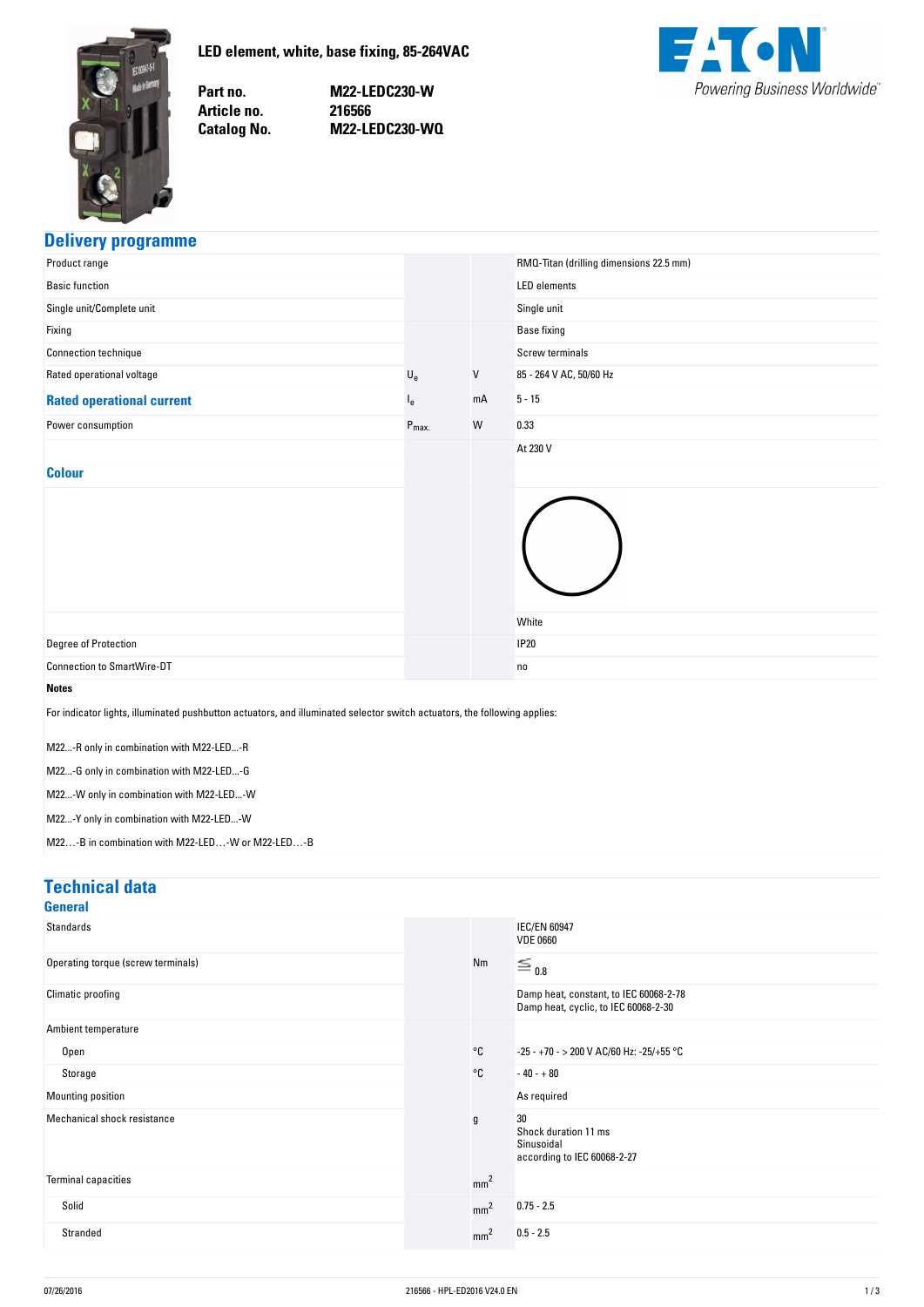<span id="page-0-0"></span>

**LED-element,-white,-base-fixing,-85-264VAC**

Part no. Article no. **Catalog No.**  **no. M22-LEDC230-W no. 216566 No. M22-LEDC230-WQ**



## **Delivery-programme**

| Product range                                                                                                                                                                                                                                                                                                                                                                 |                           |    | RMQ-Titan (drilling dimensions 22.5 mm) |
|-------------------------------------------------------------------------------------------------------------------------------------------------------------------------------------------------------------------------------------------------------------------------------------------------------------------------------------------------------------------------------|---------------------------|----|-----------------------------------------|
| <b>Basic function</b>                                                                                                                                                                                                                                                                                                                                                         |                           |    | <b>LED</b> elements                     |
| Single unit/Complete unit                                                                                                                                                                                                                                                                                                                                                     |                           |    | Single unit                             |
| Fixing                                                                                                                                                                                                                                                                                                                                                                        |                           |    | <b>Base fixing</b>                      |
| Connection technique                                                                                                                                                                                                                                                                                                                                                          |                           |    | Screw terminals                         |
| Rated operational voltage                                                                                                                                                                                                                                                                                                                                                     | $\mathsf{U}_{\mathrm{e}}$ | V  | 85 - 264 V AC, 50/60 Hz                 |
| <b>Rated operational current</b>                                                                                                                                                                                                                                                                                                                                              | $I_e$                     | mA | $5 - 15$                                |
| Power consumption                                                                                                                                                                                                                                                                                                                                                             | $P_{max.}$                | W  | 0.33                                    |
|                                                                                                                                                                                                                                                                                                                                                                               |                           |    | At 230 V                                |
| <b>Colour</b>                                                                                                                                                                                                                                                                                                                                                                 |                           |    |                                         |
|                                                                                                                                                                                                                                                                                                                                                                               |                           |    | White                                   |
| Degree of Protection                                                                                                                                                                                                                                                                                                                                                          |                           |    | <b>IP20</b>                             |
| <b>Connection to SmartWire-DT</b>                                                                                                                                                                                                                                                                                                                                             |                           |    | no                                      |
| <b>Notes</b><br>For indicator lights, illuminated pushbutton actuators, and illuminated selector switch actuators, the following applies:<br>M22-R only in combination with M22-LED-R<br>M22-G only in combination with M22-LED-G<br>M22-W only in combination with M22-LED-W<br>M22-Y only in combination with M22-LED-W<br>M22-B in combination with M22-LED-W or M22-LED-B |                           |    |                                         |

## **Technical-data**

| <b>General</b>                     |                 |                                                                                |
|------------------------------------|-----------------|--------------------------------------------------------------------------------|
| <b>Standards</b>                   |                 | <b>IEC/EN 60947</b><br><b>VDE 0660</b>                                         |
| Operating torque (screw terminals) | Nm              | $\equiv$ 0.8                                                                   |
| Climatic proofing                  |                 | Damp heat, constant, to IEC 60068-2-78<br>Damp heat, cyclic, to IEC 60068-2-30 |
| Ambient temperature                |                 |                                                                                |
| Open                               | °C              | -25 - +70 - > 200 V AC/60 Hz: -25/+55 °C                                       |
| Storage                            | °C              | $-40 - +80$                                                                    |
| Mounting position                  |                 | As required                                                                    |
| Mechanical shock resistance        | g               | 30<br>Shock duration 11 ms<br>Sinusoidal<br>according to IEC 60068-2-27        |
| Terminal capacities                | mm <sup>2</sup> |                                                                                |
| Solid                              | mm <sup>2</sup> | $0.75 - 2.5$                                                                   |
| Stranded                           | mm <sup>2</sup> | $0.5 - 2.5$                                                                    |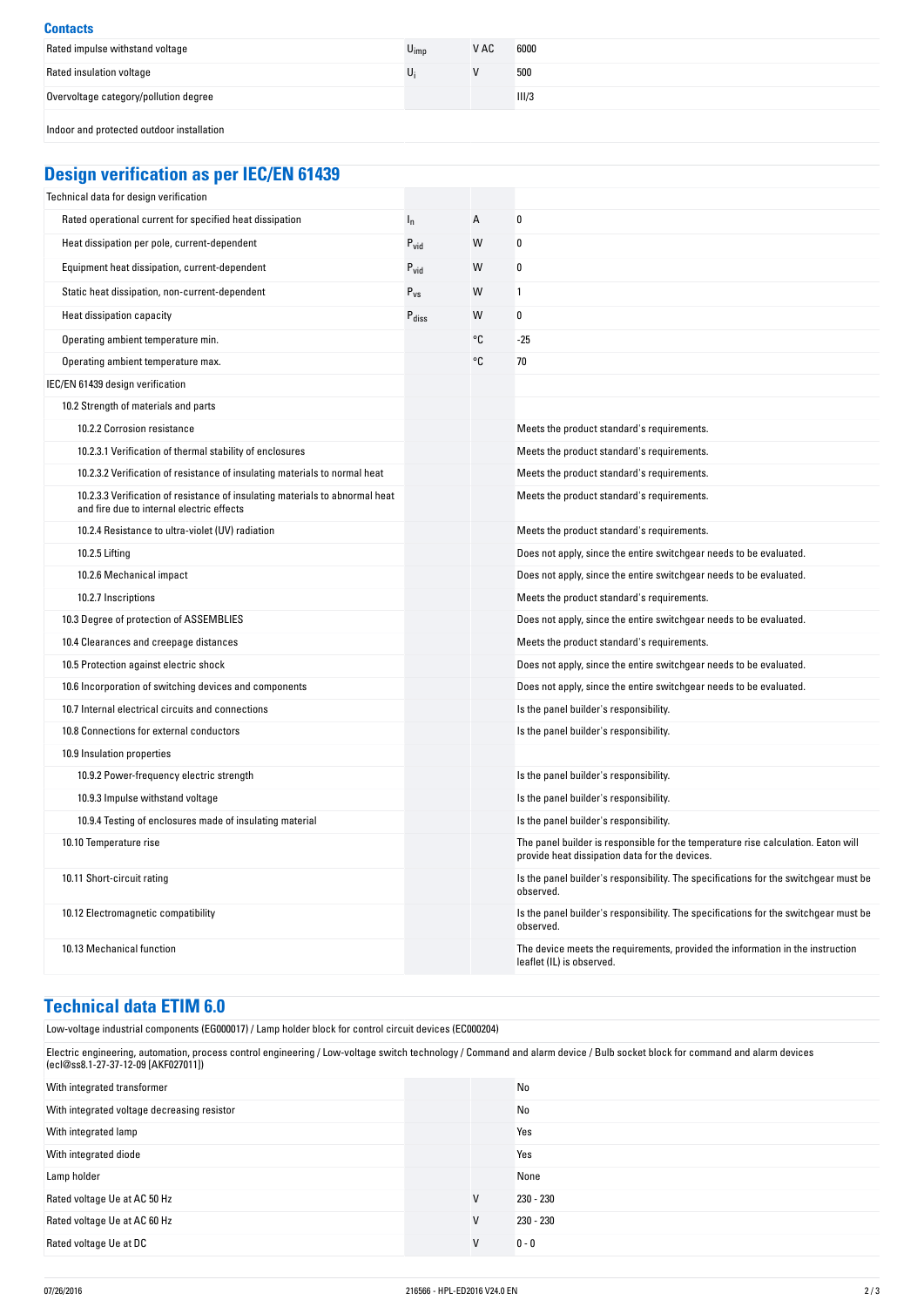| <b>Contacts</b>                           |                  |      |       |
|-------------------------------------------|------------------|------|-------|
| Rated impulse withstand voltage           | $U_{\text{imp}}$ | V AC | 6000  |
| Rated insulation voltage                  |                  |      | 500   |
| Overvoltage category/pollution degree     |                  |      | III/3 |
| Indoor and protected outdoor installation |                  |      |       |

# **Design-verification-as-per-IEC/EN-61439**

| Technical data for design verification                                                                                    |                   |    |                                                                                                                                     |
|---------------------------------------------------------------------------------------------------------------------------|-------------------|----|-------------------------------------------------------------------------------------------------------------------------------------|
| Rated operational current for specified heat dissipation                                                                  | $I_n$             | A  | 0                                                                                                                                   |
| Heat dissipation per pole, current-dependent                                                                              | $P_{vid}$         | W  | 0                                                                                                                                   |
| Equipment heat dissipation, current-dependent                                                                             | $P_{\text{vid}}$  | W  | 0                                                                                                                                   |
| Static heat dissipation, non-current-dependent                                                                            | $P_{VS}$          | W  | 1                                                                                                                                   |
| Heat dissipation capacity                                                                                                 | $P_{\text{diss}}$ | W  | 0                                                                                                                                   |
| Operating ambient temperature min.                                                                                        |                   | °C | $-25$                                                                                                                               |
| Operating ambient temperature max.                                                                                        |                   | °C | 70                                                                                                                                  |
| IEC/EN 61439 design verification                                                                                          |                   |    |                                                                                                                                     |
| 10.2 Strength of materials and parts                                                                                      |                   |    |                                                                                                                                     |
| 10.2.2 Corrosion resistance                                                                                               |                   |    | Meets the product standard's requirements.                                                                                          |
| 10.2.3.1 Verification of thermal stability of enclosures                                                                  |                   |    | Meets the product standard's requirements.                                                                                          |
| 10.2.3.2 Verification of resistance of insulating materials to normal heat                                                |                   |    | Meets the product standard's requirements.                                                                                          |
| 10.2.3.3 Verification of resistance of insulating materials to abnormal heat<br>and fire due to internal electric effects |                   |    | Meets the product standard's requirements.                                                                                          |
| 10.2.4 Resistance to ultra-violet (UV) radiation                                                                          |                   |    | Meets the product standard's requirements.                                                                                          |
| 10.2.5 Lifting                                                                                                            |                   |    | Does not apply, since the entire switchgear needs to be evaluated.                                                                  |
| 10.2.6 Mechanical impact                                                                                                  |                   |    | Does not apply, since the entire switchgear needs to be evaluated.                                                                  |
| 10.2.7 Inscriptions                                                                                                       |                   |    | Meets the product standard's requirements.                                                                                          |
| 10.3 Degree of protection of ASSEMBLIES                                                                                   |                   |    | Does not apply, since the entire switchgear needs to be evaluated.                                                                  |
| 10.4 Clearances and creepage distances                                                                                    |                   |    | Meets the product standard's requirements.                                                                                          |
| 10.5 Protection against electric shock                                                                                    |                   |    | Does not apply, since the entire switchgear needs to be evaluated.                                                                  |
| 10.6 Incorporation of switching devices and components                                                                    |                   |    | Does not apply, since the entire switchgear needs to be evaluated.                                                                  |
| 10.7 Internal electrical circuits and connections                                                                         |                   |    | Is the panel builder's responsibility.                                                                                              |
| 10.8 Connections for external conductors                                                                                  |                   |    | Is the panel builder's responsibility.                                                                                              |
| 10.9 Insulation properties                                                                                                |                   |    |                                                                                                                                     |
| 10.9.2 Power-frequency electric strength                                                                                  |                   |    | Is the panel builder's responsibility.                                                                                              |
| 10.9.3 Impulse withstand voltage                                                                                          |                   |    | Is the panel builder's responsibility.                                                                                              |
| 10.9.4 Testing of enclosures made of insulating material                                                                  |                   |    | Is the panel builder's responsibility.                                                                                              |
| 10.10 Temperature rise                                                                                                    |                   |    | The panel builder is responsible for the temperature rise calculation. Eaton will<br>provide heat dissipation data for the devices. |
| 10.11 Short-circuit rating                                                                                                |                   |    | Is the panel builder's responsibility. The specifications for the switchgear must be<br>observed.                                   |
| 10.12 Electromagnetic compatibility                                                                                       |                   |    | Is the panel builder's responsibility. The specifications for the switchgear must be<br>observed.                                   |
| 10.13 Mechanical function                                                                                                 |                   |    | The device meets the requirements, provided the information in the instruction<br>leaflet (IL) is observed.                         |

# **Technical-data-ETIM-6.0**

| Low-voltage industrial components (EG000017) / Lamp holder block for control circuit devices (EC000204)                                                                                                           |   |             |  |
|-------------------------------------------------------------------------------------------------------------------------------------------------------------------------------------------------------------------|---|-------------|--|
| Electric engineering, automation, process control engineering / Low-voltage switch technology / Command and alarm device / Bulb socket block for command and alarm devices<br>(ecl@ss8.1-27-37-12-09 [AKF027011]) |   |             |  |
| With integrated transformer                                                                                                                                                                                       |   | No          |  |
| With integrated voltage decreasing resistor                                                                                                                                                                       |   | No          |  |
| With integrated lamp                                                                                                                                                                                              |   | Yes         |  |
| With integrated diode                                                                                                                                                                                             |   | Yes         |  |
| Lamp holder                                                                                                                                                                                                       |   | None        |  |
| Rated voltage Ue at AC 50 Hz                                                                                                                                                                                      | V | 230 - 230   |  |
| Rated voltage Ue at AC 60 Hz                                                                                                                                                                                      | V | $230 - 230$ |  |
| Rated voltage Ue at DC                                                                                                                                                                                            | V | $0 - 0$     |  |